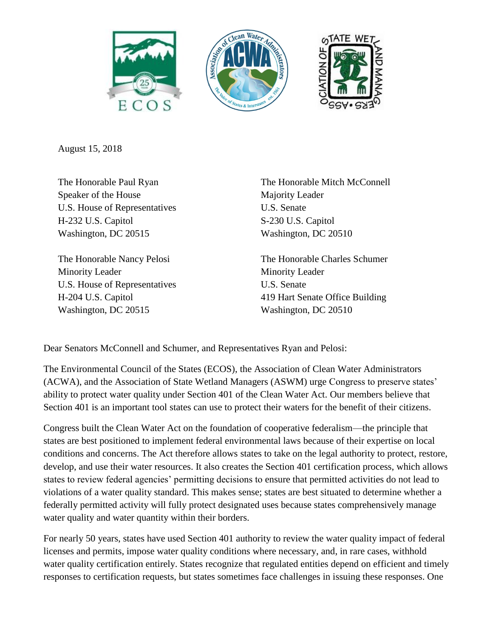





August 15, 2018

The Honorable Paul Ryan Speaker of the House U.S. House of Representatives H-232 U.S. Capitol Washington, DC 20515

The Honorable Nancy Pelosi Minority Leader U.S. House of Representatives H-204 U.S. Capitol Washington, DC 20515

The Honorable Mitch McConnell Majority Leader U.S. Senate S-230 U.S. Capitol Washington, DC 20510

The Honorable Charles Schumer Minority Leader U.S. Senate 419 Hart Senate Office Building Washington, DC 20510

Dear Senators McConnell and Schumer, and Representatives Ryan and Pelosi:

The Environmental Council of the States (ECOS), the Association of Clean Water Administrators (ACWA), and the Association of State Wetland Managers (ASWM) urge Congress to preserve states' ability to protect water quality under Section 401 of the Clean Water Act. Our members believe that Section 401 is an important tool states can use to protect their waters for the benefit of their citizens.

Congress built the Clean Water Act on the foundation of cooperative federalism—the principle that states are best positioned to implement federal environmental laws because of their expertise on local conditions and concerns. The Act therefore allows states to take on the legal authority to protect, restore, develop, and use their water resources. It also creates the Section 401 certification process, which allows states to review federal agencies' permitting decisions to ensure that permitted activities do not lead to violations of a water quality standard. This makes sense; states are best situated to determine whether a federally permitted activity will fully protect designated uses because states comprehensively manage water quality and water quantity within their borders.

For nearly 50 years, states have used Section 401 authority to review the water quality impact of federal licenses and permits, impose water quality conditions where necessary, and, in rare cases, withhold water quality certification entirely. States recognize that regulated entities depend on efficient and timely responses to certification requests, but states sometimes face challenges in issuing these responses. One